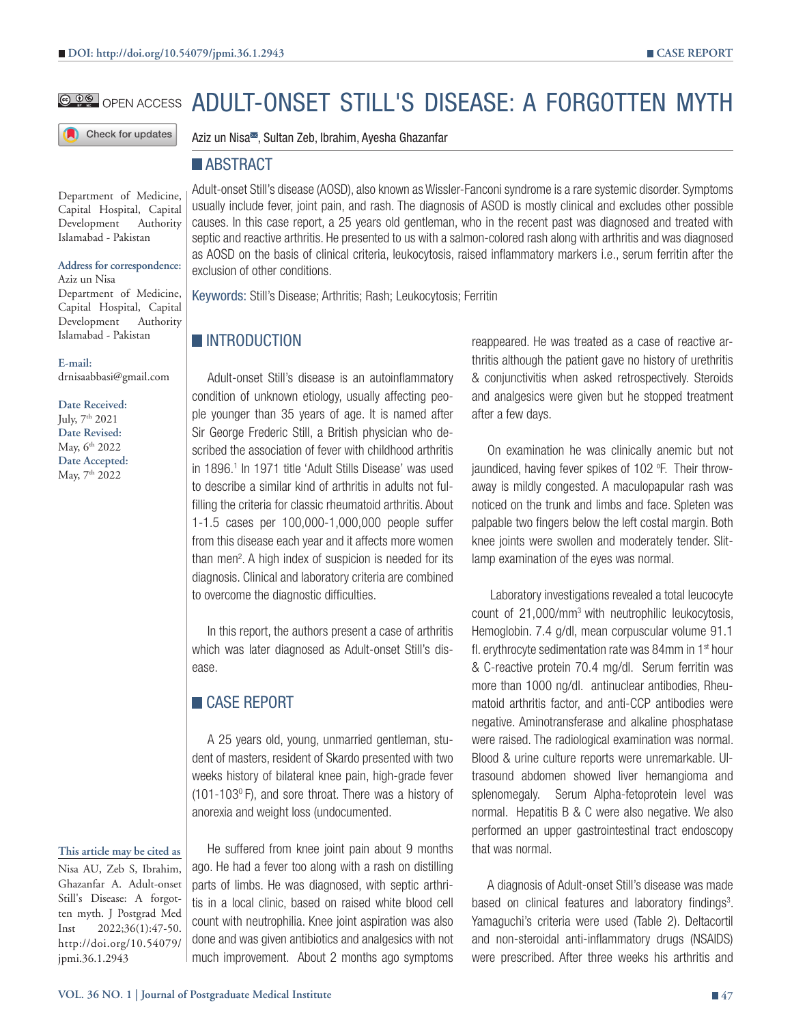# **@@@** open access ADULT-ONSET STILL'S DISEASE: A FORGOTTEN MYTH

Check for updates

Aziz un Nisa<sup>■</sup>, Sultan Zeb, Ibrahim, Ayesha Ghazanfar

### **ABSTRACT**

Department of Medicine, Capital Hospital, Capital Development Authority Islamabad - Pakistan

#### **Address for correspondence:**

Aziz un Nisa Department of Medicine, Capital Hospital, Capital Development Authority Islamabad - Pakistan

**E-mail:** drnisaabbasi@gmail.com

**Date Received:** July, 7th 2021 **Date Revised:** May, 6<sup>th</sup> 2022 **Date Accepted:** May, 7th 2022

#### **This article may be cited as**

Nisa AU, Zeb S, Ibrahim, Ghazanfar A. Adult-onset Still's Disease: A forgotten myth. J Postgrad Med Inst 2022;36(1):47-50. http://doi.org/10.54079/ jpmi.36.1.2943

Adult-onset Still's disease (AOSD), also known as Wissler-Fanconi syndrome is a rare systemic disorder. Symptoms usually include fever, joint pain, and rash. The diagnosis of ASOD is mostly clinical and excludes other possible causes. In this case report, a 25 years old gentleman, who in the recent past was diagnosed and treated with septic and reactive arthritis. He presented to us with a salmon-colored rash along with arthritis and was diagnosed as AOSD on the basis of clinical criteria, leukocytosis, raised inflammatory markers i.e., serum ferritin after the exclusion of other conditions.

Keywords: Still's Disease; Arthritis; Rash; Leukocytosis; Ferritin

# **INTRODUCTION**

Adult-onset Still's disease is an autoinflammatory condition of unknown etiology, usually affecting people younger than 35 years of age. It is named after Sir George Frederic Still, a British physician who described the association of fever with childhood arthritis in 1896.1 In 1971 title 'Adult Stills Disease' was used to describe a similar kind of arthritis in adults not fulfilling the criteria for classic rheumatoid arthritis. About 1-1.5 cases per 100,000-1,000,000 people suffer from this disease each year and it affects more women than men<sup>2</sup>. A high index of suspicion is needed for its diagnosis. Clinical and laboratory criteria are combined to overcome the diagnostic difficulties.

In this report, the authors present a case of arthritis which was later diagnosed as Adult-onset Still's disease.

# **CASE REPORT**

A 25 years old, young, unmarried gentleman, student of masters, resident of Skardo presented with two weeks history of bilateral knee pain, high-grade fever (101-1030 F), and sore throat. There was a history of anorexia and weight loss (undocumented.

He suffered from knee joint pain about 9 months ago. He had a fever too along with a rash on distilling parts of limbs. He was diagnosed, with septic arthritis in a local clinic, based on raised white blood cell count with neutrophilia. Knee joint aspiration was also done and was given antibiotics and analgesics with not much improvement. About 2 months ago symptoms

reappeared. He was treated as a case of reactive arthritis although the patient gave no history of urethritis & conjunctivitis when asked retrospectively. Steroids and analgesics were given but he stopped treatment after a few days.

On examination he was clinically anemic but not jaundiced, having fever spikes of 102 °F. Their throwaway is mildly congested. A maculopapular rash was noticed on the trunk and limbs and face. Spleten was palpable two fingers below the left costal margin. Both knee joints were swollen and moderately tender. Slitlamp examination of the eyes was normal.

 Laboratory investigations revealed a total leucocyte count of 21,000/mm3 with neutrophilic leukocytosis, Hemoglobin. 7.4 g/dl, mean corpuscular volume 91.1 fl. erythrocyte sedimentation rate was 84mm in  $1<sup>st</sup>$  hour & C-reactive protein 70.4 mg/dl. Serum ferritin was more than 1000 ng/dl. antinuclear antibodies, Rheumatoid arthritis factor, and anti-CCP antibodies were negative. Aminotransferase and alkaline phosphatase were raised. The radiological examination was normal. Blood & urine culture reports were unremarkable. Ultrasound abdomen showed liver hemangioma and splenomegaly. Serum Alpha-fetoprotein level was normal. Hepatitis B & C were also negative. We also performed an upper gastrointestinal tract endoscopy that was normal.

A diagnosis of Adult-onset Still's disease was made based on clinical features and laboratory findings<sup>3</sup>. Yamaguchi's criteria were used (Table 2). Deltacortil and non-steroidal anti-inflammatory drugs (NSAIDS) were prescribed. After three weeks his arthritis and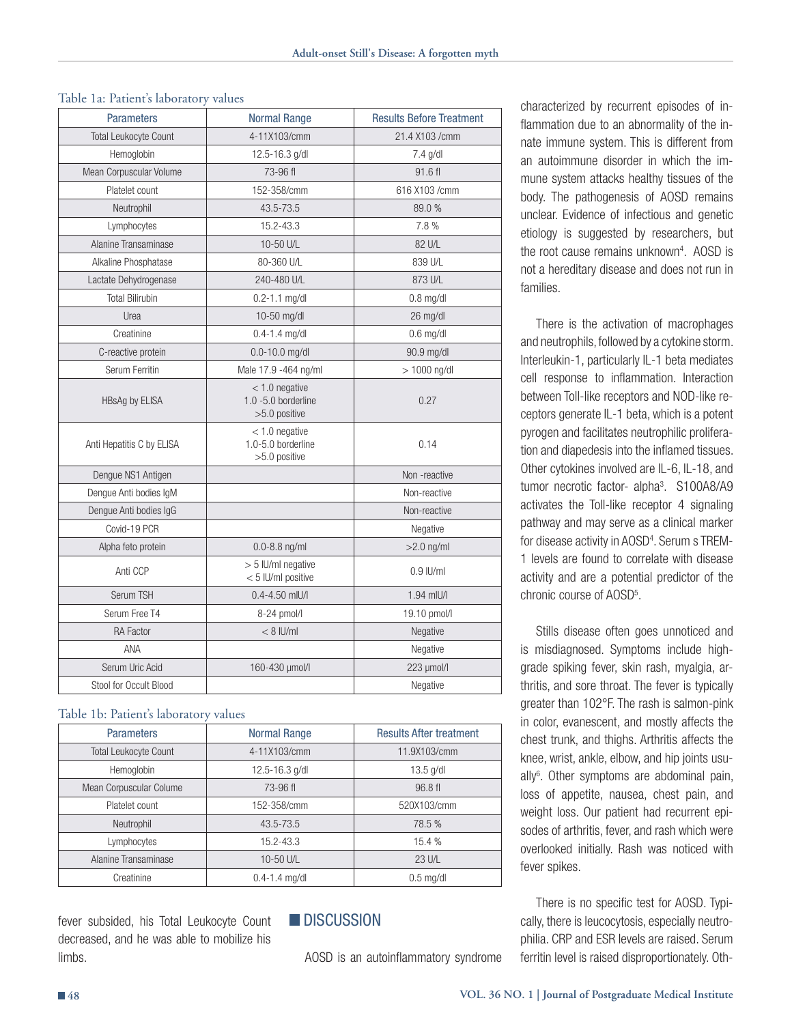#### Table 1a: Patient's laboratory values

| <b>Parameters</b>            | <b>Normal Range</b>                                         | <b>Results Before Treatment</b> |
|------------------------------|-------------------------------------------------------------|---------------------------------|
| <b>Total Leukocyte Count</b> | 4-11X103/cmm                                                | 21.4 X103 / cmm                 |
| Hemoglobin                   | 12.5-16.3 g/dl                                              | 7.4 g/dl                        |
| Mean Corpuscular Volume      | 73-96 fl                                                    | 91.6 fl                         |
| Platelet count               | 152-358/cmm                                                 | 616 X103 / cmm                  |
| Neutrophil                   | 43.5-73.5                                                   | 89.0%                           |
| Lymphocytes                  | 15.2-43.3                                                   | 7.8%                            |
| Alanine Transaminase         | 10-50 U/L                                                   | 82 U/L                          |
| Alkaline Phosphatase         | 80-360 U/L                                                  | 839 U/L                         |
| Lactate Dehydrogenase        | 240-480 U/L                                                 | 873 U/L                         |
| <b>Total Bilirubin</b>       | $0.2 - 1.1$ mg/dl                                           | $0.8$ mg/dl                     |
| Urea                         | 10-50 mg/dl                                                 | 26 mg/dl                        |
| Creatinine                   | $0.4 - 1.4$ mg/dl                                           | $0.6$ mg/dl                     |
| C-reactive protein           | $0.0 - 10.0$ mg/dl                                          | 90.9 mg/dl                      |
| Serum Ferritin               | Male 17.9 -464 ng/ml                                        | $> 1000$ ng/dl                  |
| <b>HBsAg by ELISA</b>        | $<$ 1.0 negative<br>$1.0 - 5.0$ borderline<br>>5.0 positive | 0.27                            |
| Anti Hepatitis C by ELISA    | $<$ 1.0 negative<br>1.0-5.0 borderline<br>$>5.0$ positive   | 0.14                            |
| Dengue NS1 Antigen           |                                                             | Non-reactive                    |
| Denque Anti bodies IqM       |                                                             | Non-reactive                    |
| Dengue Anti bodies IgG       |                                                             | Non-reactive                    |
| Covid-19 PCR                 |                                                             | Negative                        |
| Alpha feto protein           | $0.0 - 8.8$ ng/ml                                           | $>2.0$ ng/ml                    |
| Anti CCP                     | > 5 IU/ml negative<br>< 5 IU/ml positive                    | $0.9$ IU/ml                     |
| Serum TSH                    | $0.4 - 4.50$ mlU/l                                          | 1.94 mIU/I                      |
| Serum Free T4                | 8-24 pmol/l                                                 | 19.10 pmol/l                    |
| <b>RA Factor</b>             | $< 8$ IU/ml                                                 | Negative                        |
| ANA                          |                                                             | Negative                        |
| Serum Uric Acid              | 160-430 µmol/l                                              | 223 µmol/l                      |
| Stool for Occult Blood       |                                                             | Negative                        |

#### Table 1b: Patient's laboratory values

| <b>Parameters</b>            | <b>Normal Range</b> | <b>Results After treatment</b> |
|------------------------------|---------------------|--------------------------------|
| <b>Total Leukocyte Count</b> | 4-11X103/cmm        | 11.9X103/cmm                   |
| Hemoglobin                   | 12.5-16.3 g/dl      | $13.5$ g/dl                    |
| Mean Corpuscular Colume      | 73-96 fl            | 96.8 fl                        |
| Platelet count               | 152-358/cmm         | 520X103/cmm                    |
| Neutrophil                   | 43.5-73.5           | 78.5 %                         |
| Lymphocytes                  | 15.2-43.3           | 15.4 %                         |
| Alanine Transaminase         | 10-50 U/L           | 23 U/L                         |
| Creatinine                   | $0.4 - 1.4$ mg/dl   | $0.5$ mg/dl                    |

fever subsided, his Total Leukocyte Count decreased, and he was able to mobilize his limbs.

# **DISCUSSION**

AOSD is an autoinflammatory syndrome

characterized by recurrent episodes of inflammation due to an abnormality of the innate immune system. This is different from an autoimmune disorder in which the immune system attacks healthy tissues of the body. The pathogenesis of AOSD remains unclear. Evidence of infectious and genetic etiology is suggested by researchers, but the root cause remains unknown4 . AOSD is not a hereditary disease and does not run in families.

There is the activation of macrophages and neutrophils, followed by a cytokine storm. Interleukin-1, particularly IL-1 beta mediates cell response to inflammation. Interaction between Toll-like receptors and NOD-like receptors generate IL-1 beta, which is a potent pyrogen and facilitates neutrophilic proliferation and diapedesis into the inflamed tissues. Other cytokines involved are IL-6, IL-18, and tumor necrotic factor- alpha<sup>3</sup>. S100A8/A9 activates the Toll-like receptor 4 signaling pathway and may serve as a clinical marker for disease activity in AOSD<sup>4</sup>. Serum s TREM-1 levels are found to correlate with disease activity and are a potential predictor of the chronic course of AOSD5 .

Stills disease often goes unnoticed and is misdiagnosed. Symptoms include highgrade spiking fever, skin rash, myalgia, arthritis, and sore throat. The fever is typically greater than 102°F. The rash is salmon-pink in color, evanescent, and mostly affects the chest trunk, and thighs. Arthritis affects the knee, wrist, ankle, elbow, and hip joints usually<sup>6</sup>. Other symptoms are abdominal pain, loss of appetite, nausea, chest pain, and weight loss. Our patient had recurrent episodes of arthritis, fever, and rash which were overlooked initially. Rash was noticed with fever spikes.

There is no specific test for AOSD. Typically, there is leucocytosis, especially neutrophilia. CRP and ESR levels are raised. Serum ferritin level is raised disproportionately. Oth-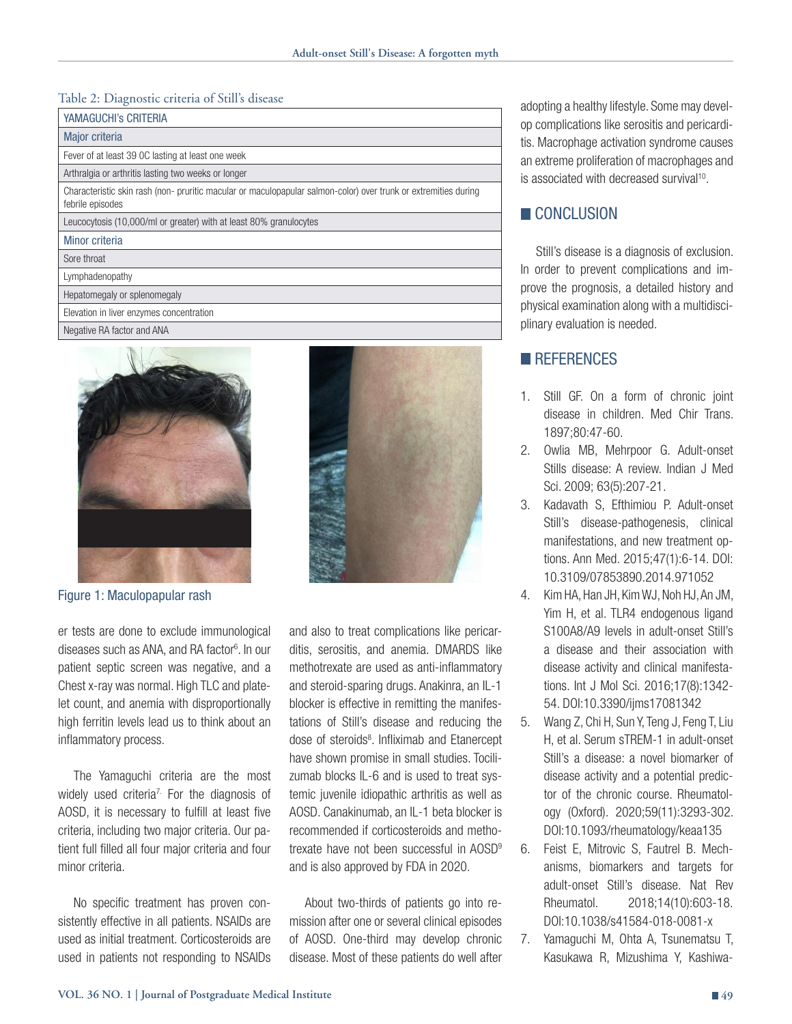### Table 2: Diagnostic criteria of Still's disease

| <b>YAMAGUCHI'S CRITERIA</b>                                                                                                         |
|-------------------------------------------------------------------------------------------------------------------------------------|
| Major criteria                                                                                                                      |
| Fever of at least 39 OC lasting at least one week                                                                                   |
| Arthralgia or arthritis lasting two weeks or longer                                                                                 |
| Characteristic skin rash (non- pruritic macular or maculopapular salmon-color) over trunk or extremities during<br>febrile episodes |
| Leucocytosis (10,000/ml or greater) with at least 80% granulocytes                                                                  |
| Minor criteria                                                                                                                      |
| Sore throat                                                                                                                         |
| Lymphadenopathy                                                                                                                     |
| Hepatomegaly or splenomegaly                                                                                                        |
| Elevation in liver enzymes concentration                                                                                            |
| Negative RA factor and ANA                                                                                                          |



Figure 1: Maculopapular rash

er tests are done to exclude immunological diseases such as ANA, and RA factor<sup>6</sup>. In our patient septic screen was negative, and a Chest x-ray was normal. High TLC and platelet count, and anemia with disproportionally high ferritin levels lead us to think about an inflammatory process.

The Yamaguchi criteria are the most widely used criteria<sup>7.</sup> For the diagnosis of AOSD, it is necessary to fulfill at least five criteria, including two major criteria. Our patient full filled all four major criteria and four minor criteria.

No specific treatment has proven consistently effective in all patients. NSAIDs are used as initial treatment. Corticosteroids are used in patients not responding to NSAIDs and also to treat complications like pericarditis, serositis, and anemia. DMARDS like methotrexate are used as anti-inflammatory and steroid-sparing drugs. Anakinra, an IL-1 blocker is effective in remitting the manifestations of Still's disease and reducing the dose of steroids<sup>8</sup>. Infliximab and Etanercept have shown promise in small studies. Tocilizumab blocks IL-6 and is used to treat systemic juvenile idiopathic arthritis as well as AOSD. Canakinumab, an IL-1 beta blocker is recommended if corticosteroids and methotrexate have not been successful in AOSD9 and is also approved by FDA in 2020.

About two-thirds of patients go into remission after one or several clinical episodes of AOSD. One-third may develop chronic disease. Most of these patients do well after

adopting a healthy lifestyle. Some may develop complications like serositis and pericarditis. Macrophage activation syndrome causes an extreme proliferation of macrophages and is associated with decreased survival<sup>10</sup>.

# CONCLUSION

Still's disease is a diagnosis of exclusion. In order to prevent complications and improve the prognosis, a detailed history and physical examination along with a multidisciplinary evaluation is needed.

## **REFERENCES**

- 1. Still GF. On a form of chronic joint disease in children. Med Chir Trans. 1897;80:47-60.
- 2. Owlia MB, Mehrpoor G. Adult-onset Stills disease: A review. Indian J Med Sci. 2009; 63(5):207-21.
- 3. Kadavath S, Efthimiou P. Adult-onset Still's disease-pathogenesis, clinical manifestations, and new treatment options. Ann Med. 2015;47(1):6-14. DOI: 10.3109/07853890.2014.971052
- 4. Kim HA, Han JH, Kim WJ, Noh HJ, An JM, Yim H, et al. TLR4 endogenous ligand S100A8/A9 levels in adult-onset Still's a disease and their association with disease activity and clinical manifestations. Int J Mol Sci. 2016;17(8):1342- 54. DOI:10.3390/ijms17081342
- 5. Wang Z, Chi H, Sun Y, Teng J, Feng T, Liu H, et al. Serum sTREM-1 in adult-onset Still's a disease: a novel biomarker of disease activity and a potential predictor of the chronic course. Rheumatology (Oxford). 2020;59(11):3293-302. DOI:10.1093/rheumatology/keaa135
- 6. Feist E, Mitrovic S, Fautrel B. Mechanisms, biomarkers and targets for adult-onset Still's disease. Nat Rev Rheumatol. 2018;14(10):603-18. DOI:10.1038/s41584-018-0081-x
- 7. Yamaguchi M, Ohta A, Tsunematsu T, Kasukawa R, Mizushima Y, Kashiwa-